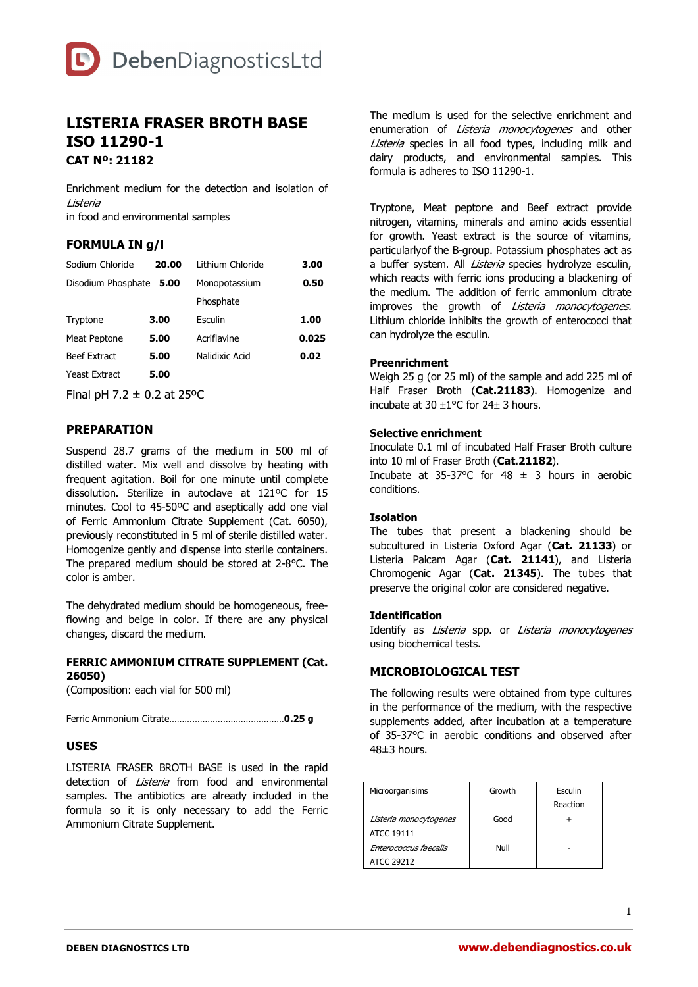

# **LISTERIA FRASER BROTH BASE ISO 11290-1 CAT Nº: 21182**

Enrichment medium for the detection and isolation of Listeria in food and environmental samples

# **FORMULA IN g/l**

| Sodium Chloride            | 20.00 | Lithium Chloride | 3.00  |
|----------------------------|-------|------------------|-------|
| Disodium Phosphate<br>5.00 |       | Monopotassium    | 0.50  |
|                            |       | Phosphate        |       |
| Tryptone                   | 3.00  | Esculin          | 1.00  |
| Meat Peptone               | 5.00  | Acriflavine      | 0.025 |
| <b>Beef Extract</b>        | 5.00  | Nalidixic Acid   | 0.02  |
| Yeast Extract              | 5.00  |                  |       |

Final pH 7.2  $\pm$  0.2 at 25°C

## **PREPARATION**

Suspend 28.7 grams of the medium in 500 ml of distilled water. Mix well and dissolve by heating with frequent agitation. Boil for one minute until complete dissolution. Sterilize in autoclave at 121ºC for 15 minutes. Cool to 45-50ºC and aseptically add one vial of Ferric Ammonium Citrate Supplement (Cat. 6050), previously reconstituted in 5 ml of sterile distilled water. Homogenize gently and dispense into sterile containers. The prepared medium should be stored at 2-8°C. The color is amber.

The dehydrated medium should be homogeneous, freeflowing and beige in color. If there are any physical changes, discard the medium.

#### **FERRIC AMMONIUM CITRATE SUPPLEMENT (Cat. 26050)**

(Composition: each vial for 500 ml)

Ferric Ammonium Citrate………………………………………**0.25 g**

#### **USES**

LISTERIA FRASER BROTH BASE is used in the rapid detection of *Listeria* from food and environmental samples. The antibiotics are already included in the formula so it is only necessary to add the Ferric Ammonium Citrate Supplement.

The medium is used for the selective enrichment and enumeration of Listeria monocytogenes and other Listeria species in all food types, including milk and dairy products, and environmental samples. This formula is adheres to ISO 11290-1.

Tryptone, Meat peptone and Beef extract provide nitrogen, vitamins, minerals and amino acids essential for growth. Yeast extract is the source of vitamins, particularlyof the B-group. Potassium phosphates act as a buffer system. All *Listeria* species hydrolyze esculin, which reacts with ferric ions producing a blackening of the medium. The addition of ferric ammonium citrate improves the growth of *Listeria monocytogenes.* Lithium chloride inhibits the growth of enterococci that can hydrolyze the esculin.

#### **Preenrichment**

Weigh 25 g (or 25 ml) of the sample and add 225 ml of Half Fraser Broth (**Cat.21183**). Homogenize and incubate at  $30 \pm 1$ °C for 24 $\pm$  3 hours.

## **Selective enrichment**

Inoculate 0.1 ml of incubated Half Fraser Broth culture into 10 ml of Fraser Broth (**Cat.21182**).

Incubate at 35-37°C for 48  $\pm$  3 hours in aerobic conditions.

#### **Isolation**

The tubes that present a blackening should be subcultured in Listeria Oxford Agar (**Cat. 21133**) or Listeria Palcam Agar (**Cat. 21141**), and Listeria Chromogenic Agar (**Cat. 21345**). The tubes that preserve the original color are considered negative.

#### **Identification**

Identify as Listeria spp. or Listeria monocytogenes using biochemical tests.

## **MICROBIOLOGICAL TEST**

The following results were obtained from type cultures in the performance of the medium, with the respective supplements added, after incubation at a temperature of 35-37°C in aerobic conditions and observed after  $48+3$  hours.

| Microorganisims        | Growth | Esculin  |
|------------------------|--------|----------|
|                        |        | Reaction |
| Listeria monocytogenes | Good   |          |
| ATCC 19111             |        |          |
| Enterococcus faecalis  | Null   |          |
| ATCC 29212             |        |          |